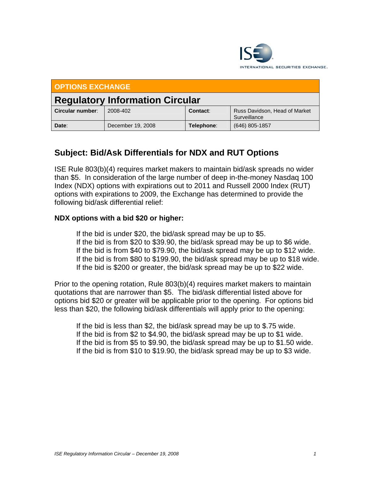

| <b>OPTIONS EXCHANGE</b>                |                   |            |                                               |
|----------------------------------------|-------------------|------------|-----------------------------------------------|
| <b>Regulatory Information Circular</b> |                   |            |                                               |
| Circular number:                       | 2008-402          | Contact:   | Russ Davidson, Head of Market<br>Surveillance |
| Date:                                  | December 19, 2008 | Telephone: | (646) 805-1857                                |

## **Subject: Bid/Ask Differentials for NDX and RUT Options**

ISE Rule 803(b)(4) requires market makers to maintain bid/ask spreads no wider than \$5. In consideration of the large number of deep in-the-money Nasdaq 100 Index (NDX) options with expirations out to 2011 and Russell 2000 Index (RUT) options with expirations to 2009, the Exchange has determined to provide the following bid/ask differential relief:

## **NDX options with a bid \$20 or higher:**

 If the bid is under \$20, the bid/ask spread may be up to \$5. If the bid is from \$20 to \$39.90, the bid/ask spread may be up to \$6 wide. If the bid is from \$40 to \$79.90, the bid/ask spread may be up to \$12 wide. If the bid is from \$80 to \$199.90, the bid/ask spread may be up to \$18 wide. If the bid is \$200 or greater, the bid/ask spread may be up to \$22 wide.

Prior to the opening rotation, Rule 803(b)(4) requires market makers to maintain quotations that are narrower than \$5. The bid/ask differential listed above for options bid \$20 or greater will be applicable prior to the opening. For options bid less than \$20, the following bid/ask differentials will apply prior to the opening:

 If the bid is less than \$2, the bid/ask spread may be up to \$.75 wide. If the bid is from \$2 to \$4.90, the bid/ask spread may be up to \$1 wide. If the bid is from \$5 to \$9.90, the bid/ask spread may be up to \$1.50 wide. If the bid is from \$10 to \$19.90, the bid/ask spread may be up to \$3 wide.